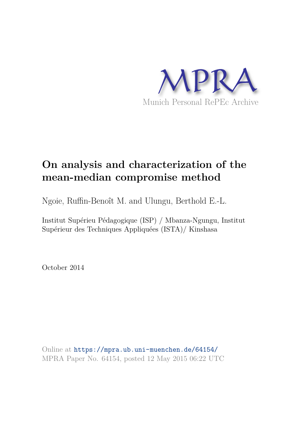

# **On analysis and characterization of the mean-median compromise method**

Ngoie, Ruffin-Benoît M. and Ulungu, Berthold E.-L.

Institut Supérieu Pédagogique (ISP) / Mbanza-Ngungu, Institut Supérieur des Techniques Appliquées (ISTA)/ Kinshasa

October 2014

Online at https://mpra.ub.uni-muenchen.de/64154/ MPRA Paper No. 64154, posted 12 May 2015 06:22 UTC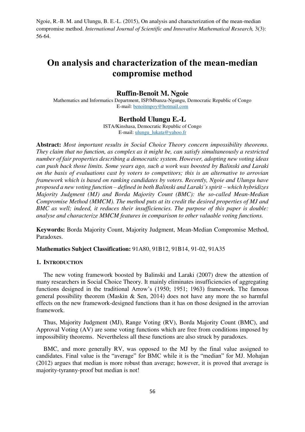# **On analysis and characterization of the mean-median compromise method**

# **Ruffin-Benoît M. Ngoie**

Mathematics and Informatics Department, ISP/Mbanza-Ngungu, Democratic Republic of Congo E-mail: [benoitmpoy@hotmail.com](mailto:benoitmpoy@hotmail.com)

# **Berthold Ulungu E.-L**

ISTA/Kinshasa, Democratic Republic of Congo E-mail: [ulungu\\_lukata@yahoo.fr](mailto:ulungu_lukata@yahoo.fr)

**Abstract:** *Most important results in Social Choice Theory concern impossibility theorems. They claim that no function, as complex as it might be, can satisfy simultaneously a restricted number of fair properties describing a democratic system. However, adopting new voting ideas can push back those limits. Some years ago, such a work was boosted by Balinski and Laraki on the basis of evaluations cast by voters to competitors; this is an alternative to arrovian framework which is based on ranking candidates by voters. Recently, Ngoie and Ulungu have proposed a new voting function – defined in both Balinski and Laraki's spirit – which hybridizes Majority Judgment (MJ) and Borda Majority Count (BMC): the so-called Mean-Median Compromise Method (MMCM). The method puts at its credit the desired properties of MJ and BMC as well; indeed, it reduces their insufficiencies. The purpose of this paper is double: analyse and characterize MMCM features in comparison to other valuable voting functions.* 

**Keywords:** Borda Majority Count, Majority Judgment, Mean-Median Compromise Method, Paradoxes.

**Mathematics Subject Classification:** 91A80, 91B12, 91B14, 91-02, 91A35

# **1. INTRODUCTION**

The new voting framework boosted by Balinski and Laraki (2007) drew the attention of many researchers in Social Choice Theory. It mainly eliminates insufficiencies of aggregating functions designed in the traditional Arrow's (1950; 1951; 1963) framework. The famous general possibility theorem (Maskin & Sen, 2014) does not have any more the so harmful effects on the new framework-designed functions than it has on those designed in the arrovian framework.

Thus, Majority Judgment (MJ), Range Voting (RV), Borda Majority Count (BMC), and Approval Voting (AV) are some voting functions which are free from conditions imposed by impossibility theorems. Nevertheless all these functions are also struck by paradoxes.

BMC, and more generally RV, was opposed to the MJ by the final value assigned to candidates. Final value is the "average" for BMC while it is the "median" for MJ. Mohajan (2012) argues that median is more robust than average; however, it is proved that average is majority-tyranny-proof but median is not!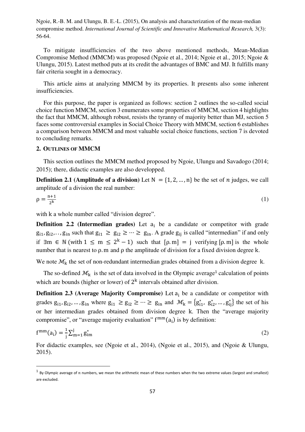To mitigate insufficiencies of the two above mentioned methods, Mean-Median Compromise Method (MMCM) was proposed (Ngoie et al., 2014; Ngoie et al., 2015; Ngoie & Ulungu, 2015). Latest method puts at its credit the advantages of BMC and MJ. It fulfills many fair criteria sought in a democracy.

This article aims at analyzing MMCM by its properties. It presents also some inherent insufficiencies.

For this purpose, the paper is organized as follows: section 2 outlines the so-called social choice function MMCM, section 3 enumerates some properties of MMCM, section 4 highlights the fact that MMCM, although robust, resists the tyranny of majority better than MJ, section 5 faces some controversial examples in Social Choice Theory with MMCM, section 6 establishes a comparison between MMCM and most valuable social choice functions, section 7 is devoted to concluding remarks.

# **2. OUTLINES OF MMCM**

<u>.</u>

This section outlines the MMCM method proposed by Ngoie, Ulungu and Savadogo (2014; 2015); there, didactic examples are also developped.

**Definition 2.1 (Amplitude of a division)** Let  $N = \{1, 2, ..., n\}$  be the set of *n* judges, we call amplitude of a division the real number:

$$
\rho = \frac{n+1}{2^k} \tag{1}
$$

with k a whole number called "division degree".

**Definition 2.2 (Intermedian grades)** Let  $a_i$  be a candidate or competitor with grade  $g_{i1}, g_{i2}, \ldots, g_{in}$  such that  $g_{i1} \ge g_{i2} \ge \cdots \ge g_{in}$ . A grade  $g_{ij}$  is called "intermedian" if and only if  $\exists m \in \mathbb{N}$  (with  $1 \le m \le 2^k - 1$ ) such that  $[\rho, m] = j$  verifying  $[\rho, m]$  is the whole number that is nearest to ρ. m and ρ the amplitude of division for a fixed division degree k.

We note  $\mathcal{M}_k$  the set of non-redundant intermedian grades obtained from a division degree k.

The so-defined  $\mathcal{M}_k$  is the set of data involved in the Olympic average<sup>1</sup> calculation of points which are bounds (higher or lower) of  $2<sup>k</sup>$  intervals obtained after division.

**Definition 2.3 (Average Majority Compromise)** Let  $a_i$  be a candidate or competitor with grades  $g_{i1}, g_{i2}, \dots, g_{in}$  where  $g_{i1} \ge g_{i2} \ge \dots \ge g_{in}$  and  $\mathcal{M}_k = \{g_{i1}^*, g_{i2}^*, \dots, g_{ij}^*\}$  the set of his or her intermedian grades obtained from division degree k. Then the "average majority compromise", or "average majority evaluation"  $f^{mm}(a_i)$  is by definition:

$$
f^{mm}(a_i) = \frac{1}{j} \sum_{m=1}^{j} g_{im}^* \tag{2}
$$

For didactic examples, see (Ngoie et al., 2014), (Ngoie et al., 2015), and (Ngoie & Ulungu, 2015).

 $^1$  By Olympic average of n numbers, we mean the arithmetic mean of these numbers when the two extreme values (largest and smallest) are excluded.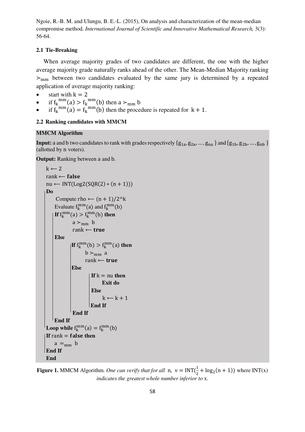# **2.1 Tie-Breaking**

When average majority grades of two candidates are different, the one with the higher average majority grade naturally ranks ahead of the other. The Mean-Median Majority ranking  $>_{mm}$  between two candidates evaluated by the same jury is determined by a repeated application of average majority ranking:

- start with  $k = 2$
- if  $f_k^{mm}(a) > f_k^{mm}(b)$  then  $a >_{mm} b$
- if  $f_k^{mm}(a) = f_k^{mm}(b)$  then the procedure is repeated for  $k + 1$ .

# **2.2 Ranking candidates with MMCM**

# **MMCM Algorithm**

**Input:** a and b two candidates to rank with grades respectively  $\{g_{1a}, g_{2a}, ..., g_{na}\}$  and  $\{g_{1b}, g_{2b}, ..., g_{nb}\}$ (allotted by n voters).

**Output:** Ranking between a and b.

```
k \leftarrow 2rank \leftarrow falsenu \leftarrow \text{INT}(\text{Log2}(\text{SOR}(2) * (n + 1))) Do
         Compute rho \leftarrow (n + 1)/2<sup>\lambda</sup>k
Evaluate f_k^{mm}(a) and f_k^{mm}(b)If f_k^{mm}(a) > f_k^{mm}(b) then
                 a >_{mm} brank \leftarrow true Else 
If f_k^{mm}(b) > f_k^{mm}(a) then
                       b >_{mm} arank \leftarrow true Else 
                          If k = nu then
                                Exit do
                           Else 
                                k \leftarrow k + 1 End If
                  End If
        End If
Loop while f_k^{mm}(a) = f_k^{mm}(b)
        a =_{mm} b End If
     End
```
**Figure 1.** MMCM Algorithm. *One can verify that for all* n,  $v = INT(\frac{1}{2} + \log_2(n + 1))$  where  $INT(x)$ 2 *indicates the greatest whole number inferior to* x.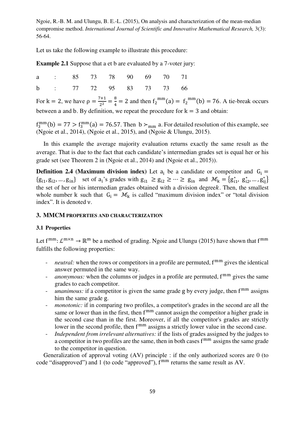Let us take the following example to illustrate this procedure:

**Example 2.1** Suppose that a et b are evaluated by a 7-voter jury:

|  |  |  | a : 85 73 78 90 69 70 71 |  |
|--|--|--|--------------------------|--|
|  |  |  | b : 77 72 95 83 73 73 66 |  |

For  $k = 2$ , we have  $\rho = \frac{7+1}{2^2}$  $\frac{7+1}{2^2} = \frac{8}{4}$  $\frac{8}{4}$  = 2 and then  $f_2$ <sup>mm</sup>(a) =  $f_2$ <sup>mm</sup>(b) = 76. A tie-break occurs between a and b. By definition, we repeat the procedure for  $k = 3$  and obtain:

 $f_3^{\text{mm}}(b) = 77 > f_3^{\text{mm}}(a) = 76.57$ . Then  $b >_{\text{mm}} a$ . For detailed resolution of this example, see (Ngoie et al., 2014), (Ngoie et al., 2015), and (Ngoie & Ulungu, 2015).

In this example the average majority evaluation returns exactly the same result as the average. That is due to the fact that each candidate's intermedian grades set is equal her or his grade set (see Theorem 2 in (Ngoie et al., 2014) and (Ngoie et al., 2015)).

**Definition 2.4 (Maximum division index)** Let  $a_i$  be a candidate or competitor and  $G_i =$  $\{g_{i1}, g_{i2}, \dots, g_{in}\}\$  set of  $a_i$ 's grades with  $g_{i1} \ge g_{i2} \ge \dots \ge g_{in}$  and  $\mathcal{M}_k = \{g_{i1}^*, g_{i2}^*, \dots, g_{ij}^*\}$ the set of her or his intermedian grades obtained with a division degreek. Then, the smallest whole number k such that  $G_i = M_k$  is called "maximum division index" or "total division index". It is denoted ν.

#### **3. MMCM PROPERTIES AND CHARACTERIZATION**

#### **3.1 Properties**

Let  $f^{mm}$ :  $\mathcal{L}^{m \times n} \to \mathbb{R}^m$  be a method of grading. Ngoie and Ulungu (2015) have shown that  $f^{mm}$ fulfills the following properties:

- *neutral*: when the rows or competitors in a profile are permuted,  $f^{mm}$  gives the identical answer permuted in the same way.
- *anonymous:* when the columns or judges in a profile are permuted, f<sup>mm</sup> gives the same grades to each competitor.
- *unanimous*: if a competitor is given the same grade g by every judge, then f<sup>mm</sup> assigns him the same grade g.
- *monotonic:* if in comparing two profiles, a competitor's grades in the second are all the same or lower than in the first, then  $f^{mm}$  cannot assign the competitor a higher grade in the second case than in the first. Moreover, if all the competitor's grades are strictly lower in the second profile, then  $f^{mm}$  assigns a strictly lower value in the second case.
- *Independent from irrelevant alternatives:* if the lists of grades assigned by the judges to a competitor in two profiles are the same, then in both cases  $f^{mm}$  assigns the same grade to the competitor in question.

Generalization of approval voting (AV) principle : if the only authorized scores are 0 (to code "disapproved") and 1 (to code "approved"),  $f^{mm}$  returns the same result as AV.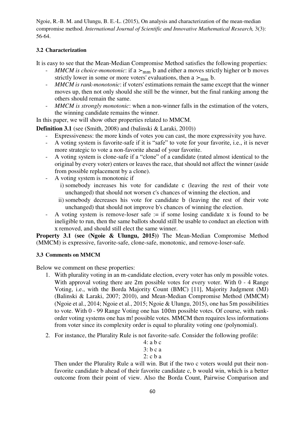# **3.2 Characterization**

It is easy to see that the Mean-Median Compromise Method satisfies the following properties:

- *MMCM is choice-monotonic*: if a  $>_{mm}$  b and either a moves strictly higher or b moves strictly lower in some or more voters' evaluations, then a  $>_{mm}$  b.
- *MMCM is rank-monotonic*: if voters' estimations remain the same except that the winner moves up, then not only should she still be the winner, but the final ranking among the others should remain the same.
- *MMCM is strongly monotonic*: when a non-winner falls in the estimation of the voters, the winning candidate remains the winner.

In this paper, we will show other properties related to MMCM.

**Definition 3.1** (see (Smith, 2008) and (balinski & Laraki, 2010))

- Expressiveness: the more kinds of votes you can cast, the more expressivity you have.
- A voting system is favorite-safe if it is "safe" to vote for your favorite, i.e., it is never more strategic to vote a non-favorite ahead of your favorite.
- A voting system is clone-safe if a "clone" of a candidate (rated almost identical to the original by every voter) enters or leaves the race, that should not affect the winner (aside from possible replacement by a clone).
- A voting system is monotonic if
	- i) somebody increases his vote for candidate c (leaving the rest of their vote unchanged) that should not worsen c's chances of winning the election, and
	- ii) somebody decreases his vote for candidate b (leaving the rest of their vote unchanged) that should not improve b's chances of winning the election.
- A voting system is remove-loser safe  $:=$  if some losing candidate x is found to be ineligible to run, then the same ballots should still be usable to conduct an election with x removed, and should still elect the same winner.

**Property 3.1 (see (Ngoie & Ulungu, 2015))** The Mean-Median Compromise Method (MMCM) is expressive, favorite-safe, clone-safe, monotonic, and remove-loser-safe.

# **3.3 Comments on MMCM**

Below we comment on these properties:

- 1. With plurality voting in an m-candidate election, every voter has only m possible votes. With approval voting there are 2m possible votes for every voter. With 0 - 4 Range Voting, i.e., with the Borda Majority Count (BMC) [11], Majority Judgment (MJ) (Balinski & Laraki, 2007; 2010), and Mean-Median Compromise Method (MMCM) (Ngoie et al., 2014; Ngoie et al., 2015; Ngoie & Ulungu, 2015), one has 5m possibilities to vote. With 0 - 99 Range Voting one has 100m possible votes. Of course, with rankorder voting systems one has m! possible votes. MMCM then requires less informations from voter since its complexity order is equal to plurality voting one (polynomial).
- 2. For instance, the Plurality Rule is not favorite-safe. Consider the following profile:

| $4:ab$ c |  |
|----------|--|
| 3: b c a |  |
|          |  |

2: c b a

Then under the Plurality Rule a will win. But if the two c voters would put their nonfavorite candidate b ahead of their favorite candidate c, b would win, which is a better outcome from their point of view. Also the Borda Count, Pairwise Comparison and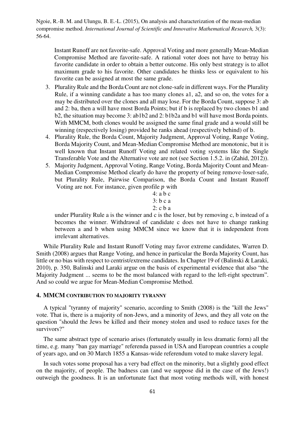Instant Runoff are not favorite-safe. Approval Voting and more generally Mean-Median Compromise Method are favorite-safe. A rational voter does not have to betray his favorite candidate in order to obtain a better outcome. His only best strategy is to allot maximum grade to his favorite. Other candidates he thinks less or equivalent to his favorite can be assigned at most the same grade.

- 3. Plurality Rule and the Borda Count are not clone-safe in different ways. For the Plurality Rule, if a winning candidate a has too many clones a1, a2, and so on, the votes for a may be distributed over the clones and all may lose. For the Borda Count, suppose 3: ab and 2: ba, then a will have most Borda Points; but if b is replaced by two clones b1 and b2, the situation may become 3: ab1b2 and 2: b1b2a and b1 will have most Borda points. With MMCM, both clones would be assigned the same final grade and a would still be winning (respectively losing) provided he ranks ahead (respectively behind) of b.
- 4. Plurality Rule, the Borda Count, Majority Judgment, Approval Voting, Range Voting, Borda Majority Count, and Mean-Median Compromise Method are monotonic, but it is well known that Instant Runoff Voting and related voting systems like the Single Transferable Vote and the Alternative vote are not (see Section 1.5.2. in (Zahid, 2012)).
- 5. Majority Judgment, Approval Voting, Range Voting, Borda Majority Count and Mean-Median Compromise Method clearly do have the property of being remove-loser-safe, but Plurality Rule, Pairwise Comparison, the Borda Count and Instant Runoff Voting are not. For instance, given profile  $p$  with

4: a b c 3: b c a 2: c b a

under Plurality Rule a is the winner and c is the loser, but by removing c, b instead of a becomes the winner. Withdrawal of candidate c does not have to change ranking between a and b when using MMCM since we know that it is independent from irrelevant alternatives.

While Plurality Rule and Instant Runoff Voting may favor extreme candidates, Warren D. Smith (2008) argues that Range Voting, and hence in particular the Borda Majority Count, has little or no bias with respect to centrist/extreme candidates. In Chapter 19 of (Balinski & Laraki, 2010), p. 350, Balinski and Laraki argue on the basis of experimental evidence that also "the Majority Judgment ... seems to be the most balanced with regard to the left-right spectrum". And so could we argue for Mean-Median Compromise Method.

# **4. MMCM CONTRIBUTION TO MAJORITY TYRANNY**

A typical "tyranny of majority" scenario, according to Smith (2008) is the "kill the Jews" vote. That is, there is a majority of non-Jews, and a minority of Jews, and they all vote on the question "should the Jews be killed and their money stolen and used to reduce taxes for the survivors?"

The same abstract type of scenario arises (fortunately usually in less dramatic form) all the time, e.g. many "ban gay marriage" referenda passed in USA and European countries a couple of years ago, and on 30 March 1855 a Kansas-wide referendum voted to make slavery legal.

In such votes some proposal has a very bad effect on the minority, but a slightly good effect on the majority, of people. The badness can (and we suppose did in the case of the Jews!) outweigh the goodness. It is an unfortunate fact that most voting methods will, with honest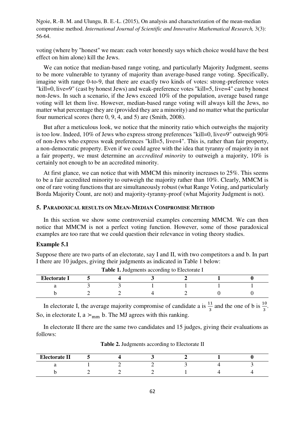voting (where by "honest" we mean: each voter honestly says which choice would have the best effect on him alone) kill the Jews.

We can notice that median-based range voting, and particularly Majority Judgment, seems to be more vulnerable to tyranny of majority than average-based range voting. Specifically, imagine with range 0-to-9, that there are exactly two kinds of votes: strong-preference votes "kill=0, live=9" (cast by honest Jews) and weak-preference votes "kill=5, live=4" cast by honest non-Jews. In such a scenario, if the Jews exceed 10% of the population, average based range voting will let them live. However, median-based range voting will always kill the Jews, no matter what percentage they are (provided they are a minority) and no matter what the particular four numerical scores (here 0, 9, 4, and 5) are (Smith, 2008).

But after a meticulous look, we notice that the minority ratio which outweighs the majority is too low. Indeed, 10% of Jews who express strong preferences "kill=0, live=9" outweigh 90% of non-Jews who express weak preferences "kill=5, live=4". This is, rather than fair property, a non-democratic property. Even if we could agree with the idea that tyranny of majority in not a fair property, we must determine an *accredited minority* to outweigh a majority, 10% is certainly not enough to be an accredited minority.

At first glance, we can notice that with MMCM this minority increases to 25%. This seems to be a fair accredited minority to outweigh the majority rather than 10%. Clearly, MMCM is one of rare voting functions that are simultaneously robust (what Range Voting, and particularly Borda Majority Count, are not) and majority-tyranny-proof (what Majority Judgment is not).

### **5. PARADOXICAL RESULTS ON MEAN-MEDIAN COMPROMISE METHOD**

In this section we show some controversial examples concerning MMCM. We can then notice that MMCM is not a perfect voting function. However, some of those paradoxical examples are too rare that we could question their relevance in voting theory studies.

# **Example 5.1**

Suppose there are two parts of an electorate, say I and II, with two competitors a and b. In part I there are 10 judges, giving their judgments as indicated in Table 1 below:

| <b>Electorate I</b> |  |  |  |
|---------------------|--|--|--|
|                     |  |  |  |
|                     |  |  |  |

|  | Table 1. Judgments according to Electorate I |  |  |
|--|----------------------------------------------|--|--|
|--|----------------------------------------------|--|--|

In electorate I, the average majority compromise of candidate a is  $\frac{11}{3}$  and the one of b is  $\frac{10}{3}$ . So, in electorate I, a  $>_{mm}$  b. The MJ agrees with this ranking.

In electorate II there are the same two candidates and 15 judges, giving their evaluations as follows:

| <b>Electorate II</b> |  |  |  |
|----------------------|--|--|--|
|                      |  |  |  |
|                      |  |  |  |

**Table 2.** Judgments according to Electorate II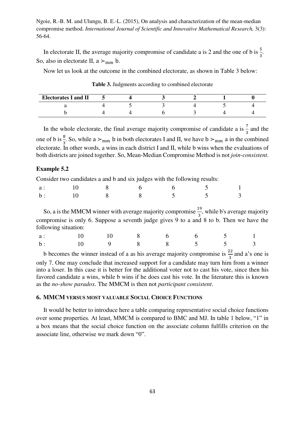In electorate II, the average majority compromise of candidate a is 2 and the one of b is  $\frac{5}{3}$ . So, also in electorate II,  $a >_{mm} b$ .

Now let us look at the outcome in the combined electorate, as shown in Table 3 below:

| <b>Electorates I and II</b> |  |  |  |
|-----------------------------|--|--|--|
|                             |  |  |  |
|                             |  |  |  |

**Table 3.** Judgments according to combined electorate

In the whole electorate, the final average majority compromise of candidate a is  $\frac{7}{2}$  and the one of b is  $\frac{8}{3}$ . So, while a ≻<sub>mm</sub> b in both electorates I and II, we have b ><sub>mm</sub> a in the combined electorate. In other words, a wins in each district I and II, while b wins when the evaluations of both districts are joined together. So, Mean-Median Compromise Method is not *join-consistent*.

## **Example 5.2**

Consider two candidates a and b and six judges with the following results:

| a: 10 8 6 6 5 1 |  |  |  |
|-----------------|--|--|--|
| b: 10 8 8 5 5 3 |  |  |  |

So, a is the MMCM winner with average majority compromise  $\frac{19}{3}$ , while b's average majority compromise is only 6. Suppose a seventh judge gives 9 to a and 8 to b. Then we have the following situation:

| a: 10 10 8 6 6 5 1 |  |  |  |  |
|--------------------|--|--|--|--|
| b: 10 9 8 8 5 5 3  |  |  |  |  |

b becomes the winner instead of a as his average majority compromise is  $\frac{22}{3}$  and a's one is only 7. One may conclude that increased support for a candidate may turn him from a winner into a loser. In this case it is better for the additional voter not to cast his vote, since then his favored candidate a wins, while b wins if he does cast his vote. In the literature this is known as the *no-show paradox*. The MMCM is then not *participant consistent*.

# **6. MMCM VERSUS MOST VALUABLE SOCIAL CHOICE FUNCTIONS**

It would be better to introduce here a table comparing representative social choice functions over some properties. At least, MMCM is compared to BMC and MJ. In table 1 below, "1" in a box means that the social choice function on the associate column fulfills criterion on the associate line, otherwise we mark down "0".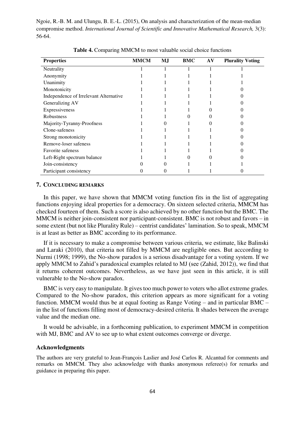| <b>Properties</b>                      | <b>MMCM</b> | MJ | BMC | AV | <b>Plurality Voting</b> |
|----------------------------------------|-------------|----|-----|----|-------------------------|
| Neutrality                             |             |    |     |    |                         |
| Anonymity                              |             |    |     |    |                         |
| Unanimity                              |             |    |     |    |                         |
| Monotonicity                           |             |    |     |    |                         |
| Independence of Irrelevant Alternative |             |    |     |    |                         |
| Generalizing AV                        |             |    |     |    |                         |
| Expressiveness                         |             |    |     |    |                         |
| Robustness                             |             |    |     |    |                         |
| Majority-Tyranny-Proofness             |             |    |     |    |                         |
| Clone-safeness                         |             |    |     |    |                         |
| Strong monotonicity                    |             |    |     |    |                         |
| Remove-loser safeness                  |             |    |     |    |                         |
| <b>Favorite safeness</b>               |             |    |     |    |                         |
| Left-Right spectrum balance            |             |    |     |    |                         |
| Join-consistency                       |             |    |     |    |                         |
| Participant consistency                |             |    |     |    |                         |

**Table 4.** Comparing MMCM to most valuable social choice functions

## **7. CONCLUDING REMARKS**

In this paper, we have shown that MMCM voting function fits in the list of aggregating functions enjoying ideal properties for a democracy. On sixteen selected criteria, MMCM has checked fourteen of them. Such a score is also achieved by no other function but the BMC. The MMCM is neither join-consistent nor participant-consistent. BMC is not robust and favors – in some extent (but not like Plurality Rule) – centrist candidates' lamination. So to speak, MMCM is at least as better as BMC according to its performance.

If it is necessary to make a compromise between various criteria, we estimate, like Balinski and Laraki (2010), that criteria not filled by MMCM are negligible ones. But acccording to Nurmi (1998; 1999), the No-show paradox is a serious disadvantage for a voting system. If we apply MMCM to Zahid's paradoxical examples related to MJ (see (Zahid, 2012)), we find that it returns coherent outcomes. Nevertheless, as we have just seen in this article, it is still vulnerable to the No-show paradox.

BMC is very easy to manipulate. It gives too much power to voters who allot extreme grades. Compared to the No-show paradox, this criterion appears as more significant for a voting function. MMCM would thus be at equal footing as Range Voting – and in particular BMC – in the list of functions filling most of democracy-desired criteria. It shades between the average value and the median one.

It would be advisable, in a forthcoming publication, to experiment MMCM in competition with MJ, BMC and AV to see up to what extent outcomes converge or diverge.

## **Acknowledgments**

The authors are very grateful to Jean-François Laslier and José Carlos R. Alcantud for comments and remarks on MMCM. They also acknowledge with thanks anonymous referee(s) for remarks and guidance in preparing this paper.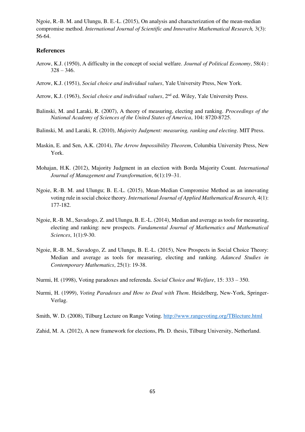#### **References**

- Arrow, K.J. (1950), A difficulty in the concept of social welfare. *Journal of Political Economy*, 58(4) :  $328 - 346.$
- Arrow, K.J. (1951), *Social choice and individual values*, Yale University Press, New York.
- Arrow, K.J. (1963), *Social choice and individual values*, 2nd ed. Wiley, Yale University Press.
- Balinski, M. and Laraki, R. (2007), A theory of measuring, electing and ranking. *Proceedings of the National Academy of Sciences of the United States of America*, 104: 8720-8725.
- Balinski, M. and Laraki, R. (2010), *Majority Judgment: measuring, ranking and electing*. MIT Press.
- Maskin, E. and Sen, A.K. (2014), *The Arrow Impossibility Theorem*, Columbia University Press, New York.
- Mohajan, H.K. (2012), Majority Judgment in an election with Borda Majority Count. *International Journal of Management and Transformation*, 6(1):19–31.
- Ngoie, R.-B. M. and Ulungu; B. E.-L. (2015), Mean-Median Compromise Method as an innovating voting rule in social choice theory. *International Journal of Applied Mathematical Research,* 4(1): 177-182.
- Ngoie, R.-B. M., Savadogo, Z. and Ulungu, B. E.-L. (2014), Median and average as tools for measuring, electing and ranking: new prospects. *Fundamental Journal of Mathematics and Mathematical Sciences*, 1(1):9-30.
- Ngoie, R.-B. M., Savadogo, Z. and Ulungu, B. E.-L. (2015), New Prospects in Social Choice Theory: Median and average as tools for measuring, electing and ranking. *Adanced Studies in Contemporary Mathematics*, 25(1): 19-38.
- Nurmi, H. (1998), Voting paradoxes and referenda. *Social Choice and Welfare*, 15: 333 350.
- Nurmi, H. (1999), *Voting Paradoxes and How to Deal with Them*. Heidelberg, New-York, Springer-Verlag.
- Smith, W. D. (2008), Tilburg Lecture on Range Voting.<http://www.rangevoting.org/TBlecture.html>
- Zahid, M. A. (2012), A new framework for elections, Ph. D. thesis, Tilburg University, Netherland.